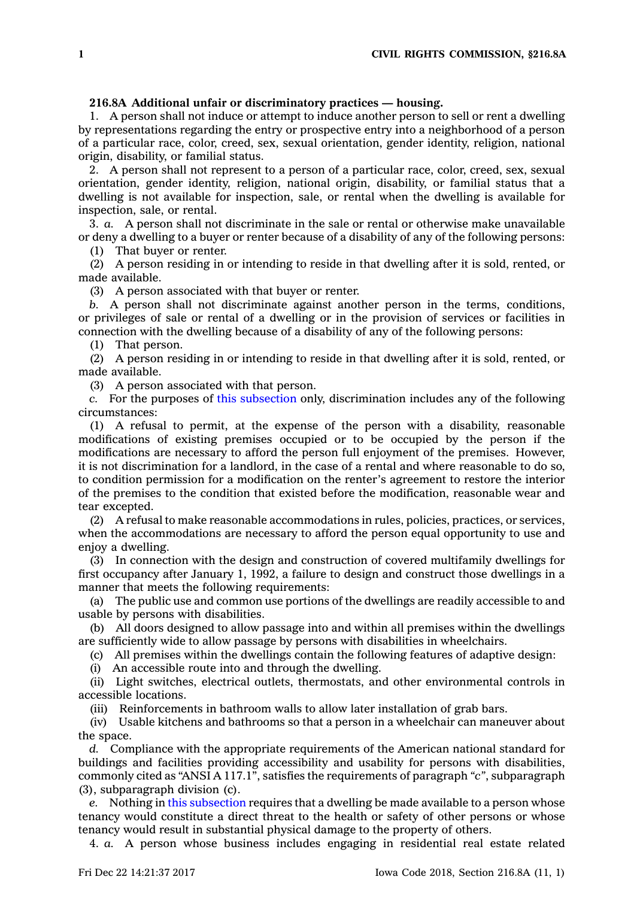## **216.8A Additional unfair or discriminatory practices — housing.**

1. A person shall not induce or attempt to induce another person to sell or rent <sup>a</sup> dwelling by representations regarding the entry or prospective entry into <sup>a</sup> neighborhood of <sup>a</sup> person of <sup>a</sup> particular race, color, creed, sex, sexual orientation, gender identity, religion, national origin, disability, or familial status.

2. A person shall not represent to <sup>a</sup> person of <sup>a</sup> particular race, color, creed, sex, sexual orientation, gender identity, religion, national origin, disability, or familial status that <sup>a</sup> dwelling is not available for inspection, sale, or rental when the dwelling is available for inspection, sale, or rental.

3. *a.* A person shall not discriminate in the sale or rental or otherwise make unavailable or deny <sup>a</sup> dwelling to <sup>a</sup> buyer or renter because of <sup>a</sup> disability of any of the following persons:

(1) That buyer or renter.

(2) A person residing in or intending to reside in that dwelling after it is sold, rented, or made available.

(3) A person associated with that buyer or renter.

*b.* A person shall not discriminate against another person in the terms, conditions, or privileges of sale or rental of <sup>a</sup> dwelling or in the provision of services or facilities in connection with the dwelling because of <sup>a</sup> disability of any of the following persons:

(1) That person.

(2) A person residing in or intending to reside in that dwelling after it is sold, rented, or made available.

(3) A person associated with that person.

*c.* For the purposes of this [subsection](https://www.legis.iowa.gov/docs/code/216.8A.pdf) only, discrimination includes any of the following circumstances:

(1) A refusal to permit, at the expense of the person with <sup>a</sup> disability, reasonable modifications of existing premises occupied or to be occupied by the person if the modifications are necessary to afford the person full enjoyment of the premises. However, it is not discrimination for <sup>a</sup> landlord, in the case of <sup>a</sup> rental and where reasonable to do so, to condition permission for <sup>a</sup> modification on the renter's agreement to restore the interior of the premises to the condition that existed before the modification, reasonable wear and tear excepted.

(2) A refusal to make reasonable accommodations in rules, policies, practices, or services, when the accommodations are necessary to afford the person equal opportunity to use and enjoy <sup>a</sup> dwelling.

(3) In connection with the design and construction of covered multifamily dwellings for first occupancy after January 1, 1992, <sup>a</sup> failure to design and construct those dwellings in <sup>a</sup> manner that meets the following requirements:

(a) The public use and common use portions of the dwellings are readily accessible to and usable by persons with disabilities.

(b) All doors designed to allow passage into and within all premises within the dwellings are sufficiently wide to allow passage by persons with disabilities in wheelchairs.

(c) All premises within the dwellings contain the following features of adaptive design:

(i) An accessible route into and through the dwelling.

(ii) Light switches, electrical outlets, thermostats, and other environmental controls in accessible locations.

(iii) Reinforcements in bathroom walls to allow later installation of grab bars.

(iv) Usable kitchens and bathrooms so that <sup>a</sup> person in <sup>a</sup> wheelchair can maneuver about the space.

*d.* Compliance with the appropriate requirements of the American national standard for buildings and facilities providing accessibility and usability for persons with disabilities, commonly cited as "ANSI A 117.1", satisfies the requirements of paragraph *"c"*, subparagraph (3), subparagraph division (c).

*e.* Nothing in this [subsection](https://www.legis.iowa.gov/docs/code/216.8A.pdf) requires that <sup>a</sup> dwelling be made available to <sup>a</sup> person whose tenancy would constitute <sup>a</sup> direct threat to the health or safety of other persons or whose tenancy would result in substantial physical damage to the property of others.

4. *a.* A person whose business includes engaging in residential real estate related